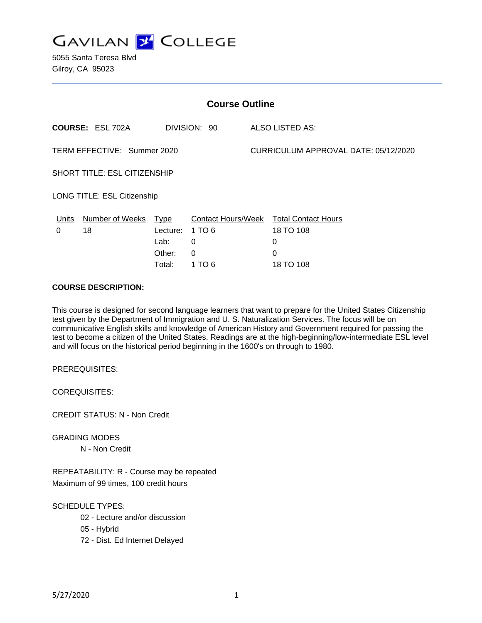

5055 Santa Teresa Blvd Gilroy, CA 95023

| <b>Course Outline</b>        |                         |                                              |                                                                |  |                                                                |  |
|------------------------------|-------------------------|----------------------------------------------|----------------------------------------------------------------|--|----------------------------------------------------------------|--|
|                              | <b>COURSE: ESL 702A</b> |                                              | DIVISION: 90                                                   |  | ALSO LISTED AS:                                                |  |
| TERM EFFECTIVE: Summer 2020  |                         |                                              |                                                                |  | CURRICULUM APPROVAL DATE: 05/12/2020                           |  |
| SHORT TITLE: ESL CITIZENSHIP |                         |                                              |                                                                |  |                                                                |  |
| LONG TITLE: ESL Citizenship  |                         |                                              |                                                                |  |                                                                |  |
| Units<br>0                   | Number of Weeks<br>18   | Type<br>Lecture:<br>Lab:<br>Other:<br>Total: | <b>Contact Hours/Week</b><br>1 TO 6<br>0<br>$\Omega$<br>1 TO 6 |  | <b>Total Contact Hours</b><br>18 TO 108<br>0<br>0<br>18 TO 108 |  |

# **COURSE DESCRIPTION:**

This course is designed for second language learners that want to prepare for the United States Citizenship test given by the Department of Immigration and U. S. Naturalization Services. The focus will be on communicative English skills and knowledge of American History and Government required for passing the test to become a citizen of the United States. Readings are at the high-beginning/low-intermediate ESL level and will focus on the historical period beginning in the 1600's on through to 1980.

PREREQUISITES:

COREQUISITES:

CREDIT STATUS: N - Non Credit

GRADING MODES

N - Non Credit

REPEATABILITY: R - Course may be repeated Maximum of 99 times, 100 credit hours

SCHEDULE TYPES:

- 02 Lecture and/or discussion
- 05 Hybrid
- 72 Dist. Ed Internet Delayed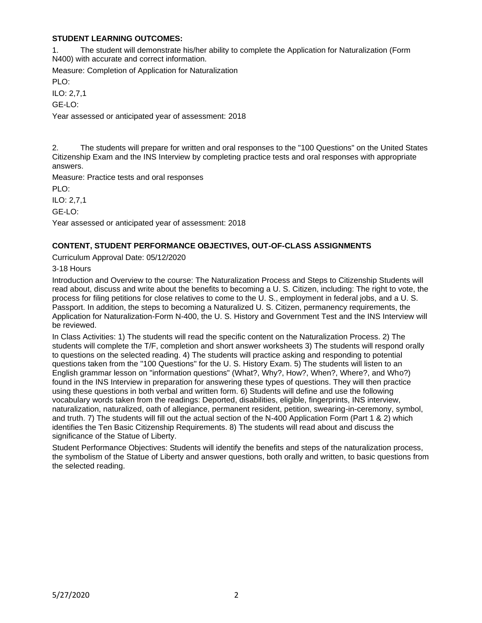# **STUDENT LEARNING OUTCOMES:**

1. The student will demonstrate his/her ability to complete the Application for Naturalization (Form N400) with accurate and correct information.

Measure: Completion of Application for Naturalization PLO<sup>.</sup>

ILO: 2,7,1

GE-LO:

Year assessed or anticipated year of assessment: 2018

2. The students will prepare for written and oral responses to the "100 Questions" on the United States Citizenship Exam and the INS Interview by completing practice tests and oral responses with appropriate answers.

Measure: Practice tests and oral responses

PLO:

ILO: 2,7,1

GE-LO:

Year assessed or anticipated year of assessment: 2018

# **CONTENT, STUDENT PERFORMANCE OBJECTIVES, OUT-OF-CLASS ASSIGNMENTS**

Curriculum Approval Date: 05/12/2020

3-18 Hours

Introduction and Overview to the course: The Naturalization Process and Steps to Citizenship Students will read about, discuss and write about the benefits to becoming a U. S. Citizen, including: The right to vote, the process for filing petitions for close relatives to come to the U. S., employment in federal jobs, and a U. S. Passport. In addition, the steps to becoming a Naturalized U. S. Citizen, permanency requirements, the Application for Naturalization-Form N-400, the U. S. History and Government Test and the INS Interview will be reviewed.

In Class Activities: 1) The students will read the specific content on the Naturalization Process. 2) The students will complete the T/F, completion and short answer worksheets 3) The students will respond orally to questions on the selected reading. 4) The students will practice asking and responding to potential questions taken from the "100 Questions" for the U. S. History Exam. 5) The students will listen to an English grammar lesson on "information questions" (What?, Why?, How?, When?, Where?, and Who?) found in the INS Interview in preparation for answering these types of questions. They will then practice using these questions in both verbal and written form. 6) Students will define and use the following vocabulary words taken from the readings: Deported, disabilities, eligible, fingerprints, INS interview, naturalization, naturalized, oath of allegiance, permanent resident, petition, swearing-in-ceremony, symbol, and truth. 7) The students will fill out the actual section of the N-400 Application Form (Part 1 & 2) which identifies the Ten Basic Citizenship Requirements. 8) The students will read about and discuss the significance of the Statue of Liberty.

Student Performance Objectives: Students will identify the benefits and steps of the naturalization process, the symbolism of the Statue of Liberty and answer questions, both orally and written, to basic questions from the selected reading.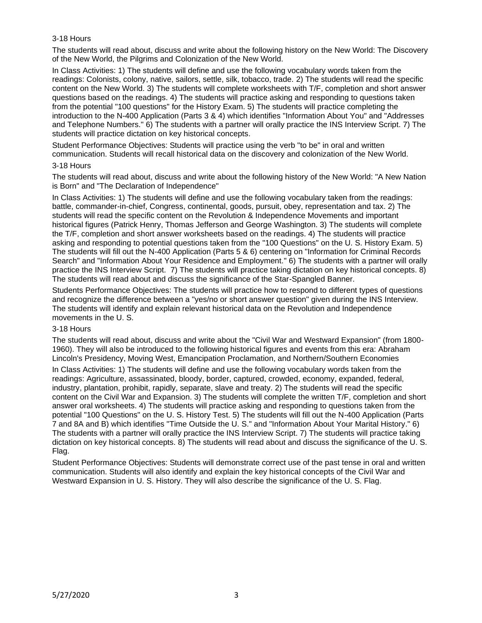# 3-18 Hours

The students will read about, discuss and write about the following history on the New World: The Discovery of the New World, the Pilgrims and Colonization of the New World.

In Class Activities: 1) The students will define and use the following vocabulary words taken from the readings: Colonists, colony, native, sailors, settle, silk, tobacco, trade. 2) The students will read the specific content on the New World. 3) The students will complete worksheets with T/F, completion and short answer questions based on the readings. 4) The students will practice asking and responding to questions taken from the potential "100 questions" for the History Exam. 5) The students will practice completing the introduction to the N-400 Application (Parts 3 & 4) which identifies "Information About You" and "Addresses and Telephone Numbers." 6) The students with a partner will orally practice the INS Interview Script. 7) The students will practice dictation on key historical concepts.

Student Performance Objectives: Students will practice using the verb "to be" in oral and written communication. Students will recall historical data on the discovery and colonization of the New World. 3-18 Hours

The students will read about, discuss and write about the following history of the New World: "A New Nation is Born" and "The Declaration of Independence"

In Class Activities: 1) The students will define and use the following vocabulary taken from the readings: battle, commander-in-chief, Congress, continental, goods, pursuit, obey, representation and tax. 2) The students will read the specific content on the Revolution & Independence Movements and important historical figures (Patrick Henry, Thomas Jefferson and George Washington. 3) The students will complete the T/F, completion and short answer worksheets based on the readings. 4) The students will practice asking and responding to potential questions taken from the "100 Questions" on the U. S. History Exam. 5) The students will fill out the N-400 Application (Parts 5 & 6) centering on "Information for Criminal Records Search" and "Information About Your Residence and Employment." 6) The students with a partner will orally practice the INS Interview Script. 7) The students will practice taking dictation on key historical concepts. 8) The students will read about and discuss the significance of the Star-Spangled Banner.

Students Performance Objectives: The students will practice how to respond to different types of questions and recognize the difference between a "yes/no or short answer question" given during the INS Interview. The students will identify and explain relevant historical data on the Revolution and Independence movements in the U. S.

# 3-18 Hours

The students will read about, discuss and write about the "Civil War and Westward Expansion" (from 1800- 1960). They will also be introduced to the following historical figures and events from this era: Abraham Lincoln's Presidency, Moving West, Emancipation Proclamation, and Northern/Southern Economies

In Class Activities: 1) The students will define and use the following vocabulary words taken from the readings: Agriculture, assassinated, bloody, border, captured, crowded, economy, expanded, federal, industry, plantation, prohibit, rapidly, separate, slave and treaty. 2) The students will read the specific content on the Civil War and Expansion. 3) The students will complete the written T/F, completion and short answer oral worksheets. 4) The students will practice asking and responding to questions taken from the potential "100 Questions" on the U. S. History Test. 5) The students will fill out the N-400 Application (Parts 7 and 8A and B) which identifies "Time Outside the U. S." and "Information About Your Marital History." 6) The students with a partner will orally practice the INS Interview Script. 7) The students will practice taking dictation on key historical concepts. 8) The students will read about and discuss the significance of the U. S. Flag.

Student Performance Objectives: Students will demonstrate correct use of the past tense in oral and written communication. Students will also identify and explain the key historical concepts of the Civil War and Westward Expansion in U. S. History. They will also describe the significance of the U. S. Flag.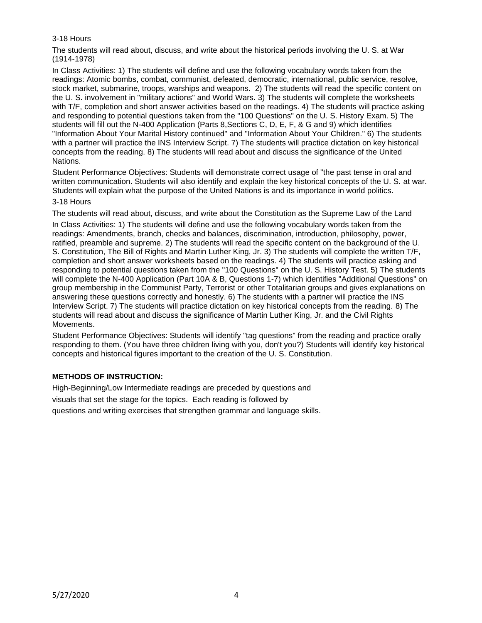# 3-18 Hours

The students will read about, discuss, and write about the historical periods involving the U. S. at War (1914-1978)

In Class Activities: 1) The students will define and use the following vocabulary words taken from the readings: Atomic bombs, combat, communist, defeated, democratic, international, public service, resolve, stock market, submarine, troops, warships and weapons. 2) The students will read the specific content on the U. S. involvement in "military actions" and World Wars. 3) The students will complete the worksheets with T/F, completion and short answer activities based on the readings. 4) The students will practice asking and responding to potential questions taken from the "100 Questions" on the U. S. History Exam. 5) The students will fill out the N-400 Application (Parts 8,Sections C, D, E, F, & G and 9) which identifies "Information About Your Marital History continued" and "Information About Your Children." 6) The students with a partner will practice the INS Interview Script. 7) The students will practice dictation on key historical concepts from the reading. 8) The students will read about and discuss the significance of the United Nations.

Student Performance Objectives: Students will demonstrate correct usage of "the past tense in oral and written communication. Students will also identify and explain the key historical concepts of the U. S. at war. Students will explain what the purpose of the United Nations is and its importance in world politics.

### 3-18 Hours

The students will read about, discuss, and write about the Constitution as the Supreme Law of the Land

In Class Activities: 1) The students will define and use the following vocabulary words taken from the readings: Amendments, branch, checks and balances, discrimination, introduction, philosophy, power, ratified, preamble and supreme. 2) The students will read the specific content on the background of the U. S. Constitution, The Bill of Rights and Martin Luther King, Jr. 3) The students will complete the written T/F, completion and short answer worksheets based on the readings. 4) The students will practice asking and responding to potential questions taken from the "100 Questions" on the U. S. History Test. 5) The students will complete the N-400 Application (Part 10A & B, Questions 1-7) which identifies "Additional Questions" on group membership in the Communist Party, Terrorist or other Totalitarian groups and gives explanations on answering these questions correctly and honestly. 6) The students with a partner will practice the INS Interview Script. 7) The students will practice dictation on key historical concepts from the reading. 8) The students will read about and discuss the significance of Martin Luther King, Jr. and the Civil Rights Movements.

Student Performance Objectives: Students will identify "tag questions" from the reading and practice orally responding to them. (You have three children living with you, don't you?) Students will identify key historical concepts and historical figures important to the creation of the U. S. Constitution.

# **METHODS OF INSTRUCTION:**

High-Beginning/Low Intermediate readings are preceded by questions and

visuals that set the stage for the topics. Each reading is followed by

questions and writing exercises that strengthen grammar and language skills.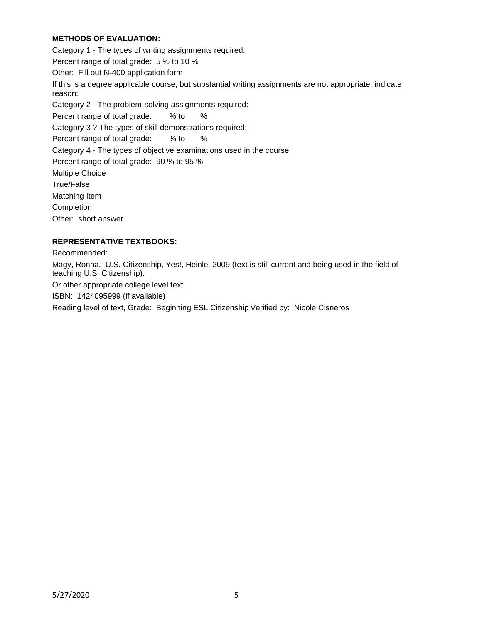# **METHODS OF EVALUATION:**

Category 1 - The types of writing assignments required: Percent range of total grade: 5 % to 10 % Other: Fill out N-400 application form If this is a degree applicable course, but substantial writing assignments are not appropriate, indicate reason: Category 2 - The problem-solving assignments required: Percent range of total grade: % to % Category 3 ? The types of skill demonstrations required: Percent range of total grade: % to % Category 4 - The types of objective examinations used in the course: Percent range of total grade: 90 % to 95 % Multiple Choice True/False Matching Item Completion Other: short answer

# **REPRESENTATIVE TEXTBOOKS:**

Recommended:

Magy, Ronna. U.S. Citizenship, Yes!, Heinle, 2009 (text is still current and being used in the field of teaching U.S. Citizenship).

Or other appropriate college level text.

ISBN: 1424095999 (if available)

Reading level of text, Grade: Beginning ESL Citizenship Verified by: Nicole Cisneros